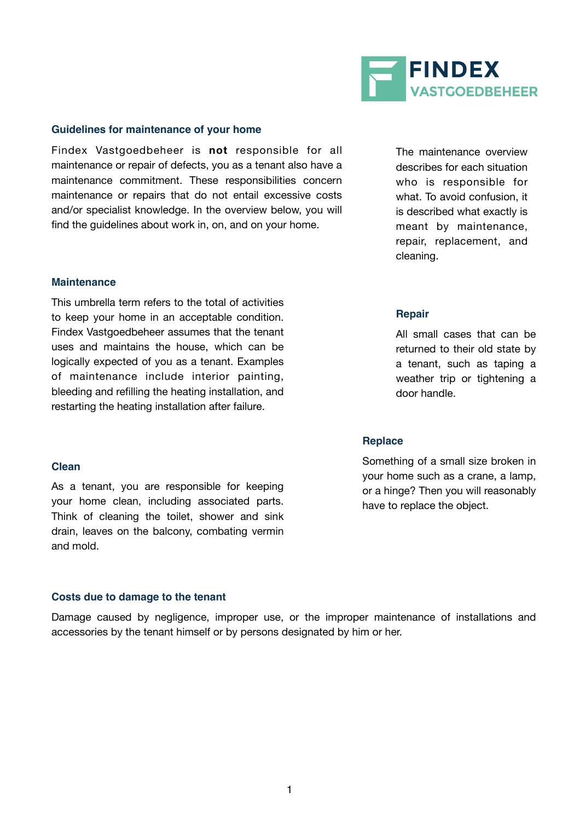

#### **Guidelines for maintenance of your home**

Findex Vastgoedbeheer is **not** responsible for all maintenance or repair of defects, you as a tenant also have a maintenance commitment. These responsibilities concern maintenance or repairs that do not entail excessive costs and/or specialist knowledge. In the overview below, you will find the guidelines about work in, on, and on your home.

#### **Maintenance**

This umbrella term refers to the total of activities to keep your home in an acceptable condition. Findex Vastgoedbeheer assumes that the tenant uses and maintains the house, which can be logically expected of you as a tenant. Examples of maintenance include interior painting, bleeding and refilling the heating installation, and restarting the heating installation after failure.

#### **Clean**

As a tenant, you are responsible for keeping your home clean, including associated parts. Think of cleaning the toilet, shower and sink drain, leaves on the balcony, combating vermin and mold.

#### **Costs due to damage to the tenant**

Damage caused by negligence, improper use, or the improper maintenance of installations and accessories by the tenant himself or by persons designated by him or her.

The maintenance overview describes for each situation who is responsible for what. To avoid confusion, it is described what exactly is meant by maintenance, repair, replacement, and cleaning.

#### **Repair**

All small cases that can be returned to their old state by a tenant, such as taping a weather trip or tightening a door handle.

#### **Replace**

Something of a small size broken in your home such as a crane, a lamp, or a hinge? Then you will reasonably have to replace the object.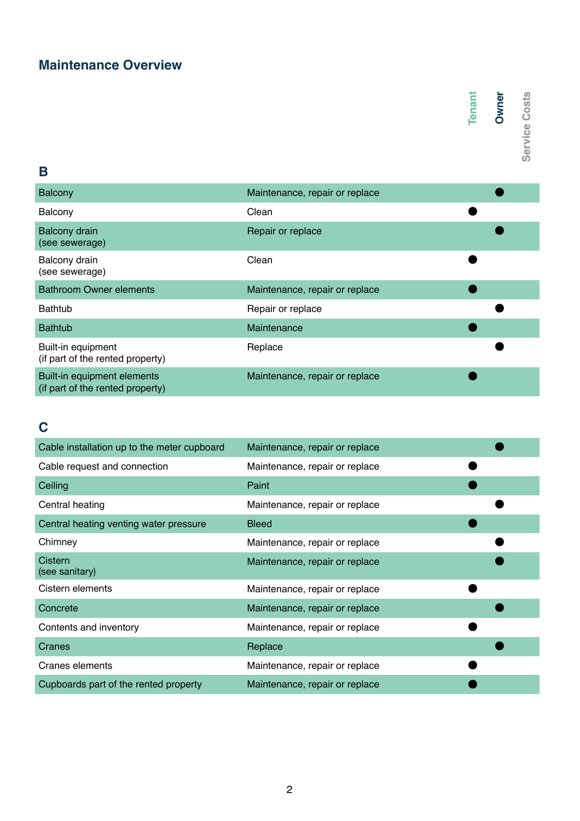## **Maintenance Overview**

# Tenant<br>**Owner**<br>Service Costs

## **B**

| <b>Balcony</b>                                                  | Maintenance, repair or replace |  |
|-----------------------------------------------------------------|--------------------------------|--|
| Balcony                                                         | Clean                          |  |
| <b>Balcony drain</b><br>(see sewerage)                          | Repair or replace              |  |
| Balcony drain<br>(see sewerage)                                 | Clean                          |  |
| <b>Bathroom Owner elements</b>                                  | Maintenance, repair or replace |  |
| <b>Bathtub</b>                                                  | Repair or replace              |  |
| <b>Bathtub</b>                                                  | Maintenance                    |  |
| Built-in equipment<br>(if part of the rented property)          | Replace                        |  |
| Built-in equipment elements<br>(if part of the rented property) | Maintenance, repair or replace |  |

# **C**

|                                                                 |                                | Tenant | <b>Owner</b> | Service Costs |
|-----------------------------------------------------------------|--------------------------------|--------|--------------|---------------|
|                                                                 |                                |        |              |               |
|                                                                 |                                |        |              |               |
| B                                                               |                                |        |              |               |
| <b>Balcony</b>                                                  | Maintenance, repair or replace |        |              |               |
| Balcony                                                         | Clean                          |        |              |               |
| <b>Balcony drain</b><br>(see sewerage)                          | Repair or replace              |        |              |               |
| Balcony drain<br>(see sewerage)                                 | Clean                          |        |              |               |
| <b>Bathroom Owner elements</b>                                  | Maintenance, repair or replace |        |              |               |
| <b>Bathtub</b>                                                  | Repair or replace              |        |              |               |
| <b>Bathtub</b>                                                  | Maintenance                    |        |              |               |
| Built-in equipment<br>(if part of the rented property)          | Replace                        |        |              |               |
| Built-in equipment elements<br>(if part of the rented property) | Maintenance, repair or replace |        |              |               |
|                                                                 |                                |        |              |               |
| C                                                               |                                |        |              |               |
| Cable installation up to the meter cupboard                     | Maintenance, repair or replace |        |              |               |
| Cable request and connection                                    | Maintenance, repair or replace |        |              |               |
| Ceiling                                                         | Paint                          |        |              |               |
| Central heating                                                 | Maintenance, repair or replace |        |              |               |
| Central heating venting water pressure                          | <b>Bleed</b>                   |        |              |               |
| Chimney                                                         | Maintenance, repair or replace |        |              |               |
| Cistern<br>(see sanitary)                                       | Maintenance, repair or replace |        |              |               |
| Cistern elements                                                | Maintenance, repair or replace |        |              |               |
| Concrete                                                        | Maintenance, repair or replace |        |              |               |
| Contents and inventory                                          | Maintenance, repair or replace |        |              |               |
| <b>Cranes</b>                                                   | Replace                        |        |              |               |
| <b>Cranes elements</b>                                          | Maintenance, repair or replace |        |              |               |
| Cupboards part of the rented property                           | Maintenance, repair or replace |        |              |               |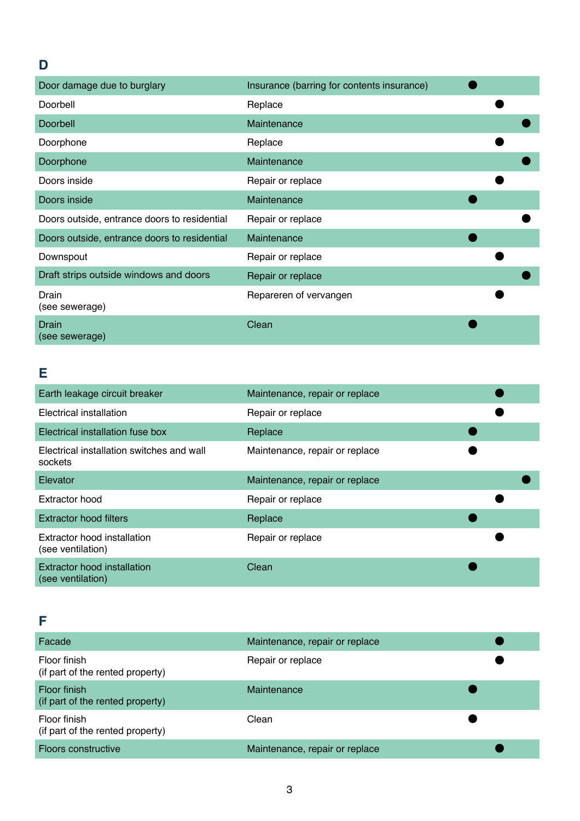## Door damage due to burglary **Insurance** (barring for contents insurance) **●** Doorbell ● Replace ● Doorbell Maintenance **Britain Maintenance** Doorphone **Replace Replace** Doorphone **Maintenance Maintenance** Doors inside **Repair of replace B** Doors inside **Maintenance Maintenance** Doors outside, entrance doors to residential Repair or replace ● Doors outside, entrance doors to residential Maintenance ● Downspout Downspout Repair or replace Draft strips outside windows and doors **Repair or replace** Drain (see sewerage) Repareren of vervangen Drain (see sewerage) Clean

#### **E**

**D**

| Earth leakage circuit breaker                           | Maintenance, repair or replace |  |  |
|---------------------------------------------------------|--------------------------------|--|--|
| Electrical installation                                 | Repair or replace              |  |  |
| Electrical installation fuse box                        | Replace                        |  |  |
| Electrical installation switches and wall<br>sockets    | Maintenance, repair or replace |  |  |
| Elevator                                                | Maintenance, repair or replace |  |  |
| Extractor hood                                          | Repair or replace              |  |  |
| <b>Extractor hood filters</b>                           | Replace                        |  |  |
| Extractor hood installation<br>(see ventilation)        | Repair or replace              |  |  |
| <b>Extractor hood installation</b><br>(see ventilation) | Clean                          |  |  |

### **F**

| Facade                                                  | Maintenance, repair or replace |  |
|---------------------------------------------------------|--------------------------------|--|
| Floor finish<br>(if part of the rented property)        | Repair or replace              |  |
| <b>Floor finish</b><br>(if part of the rented property) | Maintenance                    |  |
| Floor finish<br>(if part of the rented property)        | Clean                          |  |
| <b>Floors constructive</b>                              | Maintenance, repair or replace |  |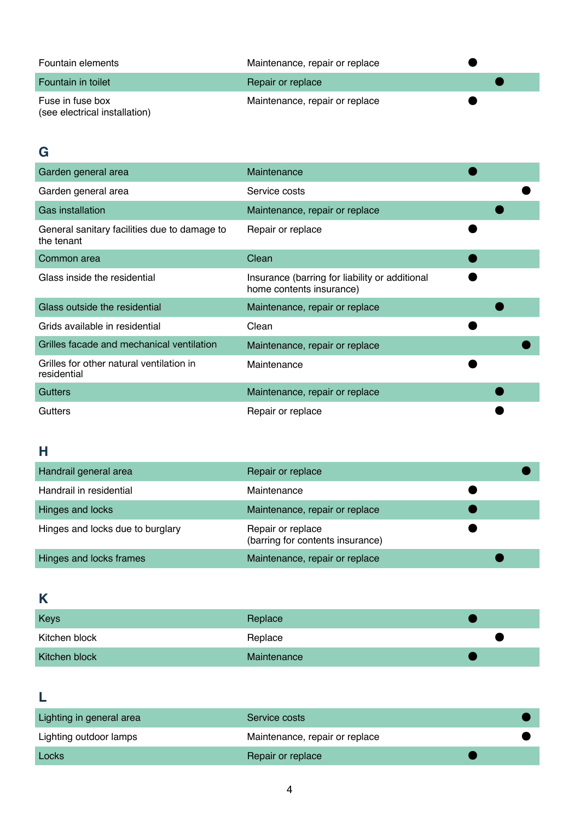| Fountain elements                                 | Maintenance, repair or replace |  |
|---------------------------------------------------|--------------------------------|--|
| Fountain in toilet                                | Repair or replace              |  |
| Fuse in fuse box<br>(see electrical installation) | Maintenance, repair or replace |  |

## **G**

| Garden general area                                        | Maintenance                                                                |
|------------------------------------------------------------|----------------------------------------------------------------------------|
| Garden general area                                        | Service costs                                                              |
| <b>Gas installation</b>                                    | Maintenance, repair or replace                                             |
| General sanitary facilities due to damage to<br>the tenant | Repair or replace                                                          |
| Common area                                                | Clean                                                                      |
| Glass inside the residential                               | Insurance (barring for liability or additional<br>home contents insurance) |
| Glass outside the residential                              | Maintenance, repair or replace                                             |
| Grids available in residential                             | Clean                                                                      |
| Grilles facade and mechanical ventilation                  | Maintenance, repair or replace                                             |
| Grilles for other natural ventilation in<br>residential    | Maintenance                                                                |
| <b>Gutters</b>                                             | Maintenance, repair or replace                                             |
| <b>Gutters</b>                                             | Repair or replace                                                          |

# **H**

| Handrail general area            | Repair or replace                                     |  |
|----------------------------------|-------------------------------------------------------|--|
| Handrail in residential          | Maintenance                                           |  |
| Hinges and locks                 | Maintenance, repair or replace                        |  |
| Hinges and locks due to burglary | Repair or replace<br>(barring for contents insurance) |  |
| Hinges and locks frames          | Maintenance, repair or replace                        |  |

# **K**

| Keys          | Replace     |  |  |
|---------------|-------------|--|--|
| Kitchen block | Replace     |  |  |
| Kitchen block | Maintenance |  |  |

# **L**

| Lighting in general area | Service costs                  |  |  |
|--------------------------|--------------------------------|--|--|
| Lighting outdoor lamps   | Maintenance, repair or replace |  |  |
| Locks                    | Repair or replace              |  |  |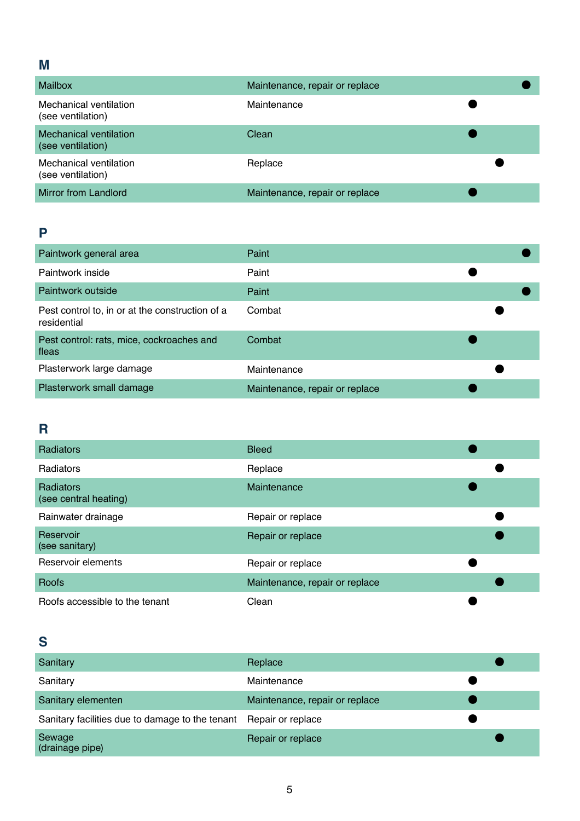## **M**

| Mailbox                                            | Maintenance, repair or replace |  |
|----------------------------------------------------|--------------------------------|--|
| Mechanical ventilation<br>(see ventilation)        | Maintenance                    |  |
| <b>Mechanical ventilation</b><br>(see ventilation) | Clean                          |  |
| Mechanical ventilation<br>(see ventilation)        | Replace                        |  |
| <b>Mirror from Landlord</b>                        | Maintenance, repair or replace |  |

## **P**

| Paintwork general area                                         | Paint                          |  |
|----------------------------------------------------------------|--------------------------------|--|
| Paintwork inside                                               | Paint                          |  |
| Paintwork outside                                              | Paint                          |  |
| Pest control to, in or at the construction of a<br>residential | Combat                         |  |
| Pest control: rats, mice, cockroaches and<br>fleas             | Combat                         |  |
| Plasterwork large damage                                       | Maintenance                    |  |
| Plasterwork small damage                                       | Maintenance, repair or replace |  |

# **R**

| <b>Radiators</b>                          | <b>Bleed</b>                   |  |
|-------------------------------------------|--------------------------------|--|
| Radiators                                 | Replace                        |  |
| <b>Radiators</b><br>(see central heating) | Maintenance                    |  |
| Rainwater drainage                        | Repair or replace              |  |
| Reservoir<br>(see sanitary)               | Repair or replace              |  |
| Reservoir elements                        | Repair or replace              |  |
| <b>Roofs</b>                              | Maintenance, repair or replace |  |
| Roofs accessible to the tenant            | Clean                          |  |

# **S**

| Sanitary                                                          | Replace                        |  |  |
|-------------------------------------------------------------------|--------------------------------|--|--|
| Sanitary                                                          | Maintenance                    |  |  |
| Sanitary elementen                                                | Maintenance, repair or replace |  |  |
| Sanitary facilities due to damage to the tenant Repair or replace |                                |  |  |
| Sewage<br>(drainage pipe)                                         | Repair or replace              |  |  |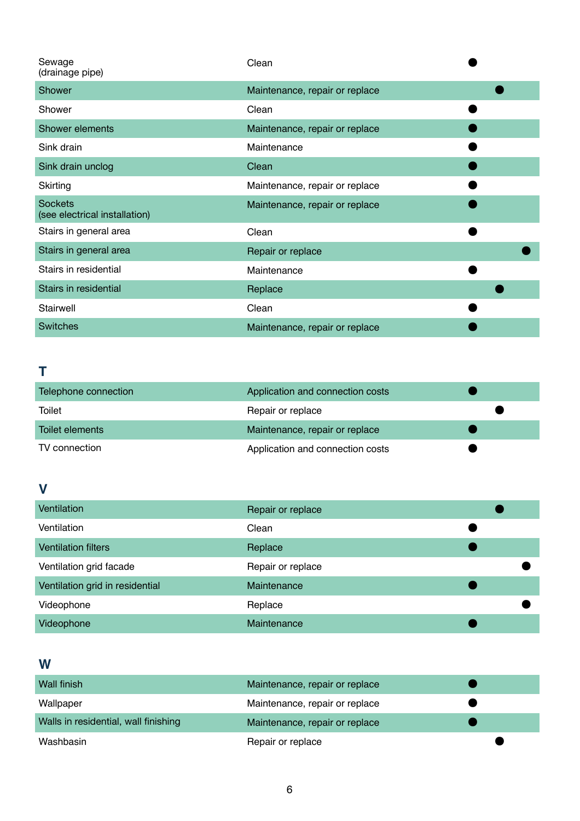| Sewage<br>(drainage pipe)                       | Clean                          |
|-------------------------------------------------|--------------------------------|
| Shower                                          | Maintenance, repair or replace |
| Shower                                          | Clean                          |
| Shower elements                                 | Maintenance, repair or replace |
| Sink drain                                      | Maintenance                    |
| Sink drain unclog                               | Clean                          |
| Skirting                                        | Maintenance, repair or replace |
| <b>Sockets</b><br>(see electrical installation) | Maintenance, repair or replace |
| Stairs in general area                          | Clean                          |
| Stairs in general area                          | Repair or replace              |
| Stairs in residential                           | Maintenance                    |
| Stairs in residential                           | Replace                        |
| Stairwell                                       | Clean                          |
| <b>Switches</b>                                 | Maintenance, repair or replace |

# **T**

| Telephone connection | Application and connection costs |  |
|----------------------|----------------------------------|--|
| Toilet               | Repair or replace                |  |
| Toilet elements      | Maintenance, repair or replace   |  |
| TV connection        | Application and connection costs |  |

# **V**

| Ventilation                     | Repair or replace |  |
|---------------------------------|-------------------|--|
| Ventilation                     | Clean             |  |
| <b>Ventilation filters</b>      | Replace           |  |
| Ventilation grid facade         | Repair or replace |  |
| Ventilation grid in residential | Maintenance       |  |
| Videophone                      | Replace           |  |
| Videophone                      | Maintenance       |  |

## **W**

| Wall finish                          | Maintenance, repair or replace |  |  |
|--------------------------------------|--------------------------------|--|--|
| Wallpaper                            | Maintenance, repair or replace |  |  |
| Walls in residential, wall finishing | Maintenance, repair or replace |  |  |
| Washbasin                            | Repair or replace              |  |  |